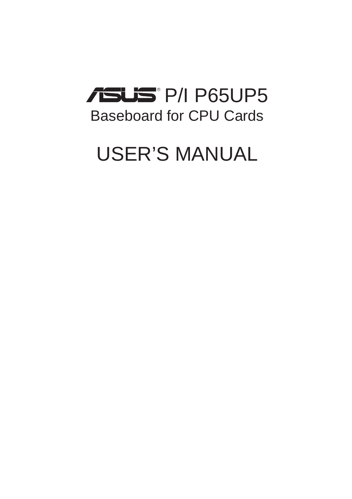

# USER'S MANUAL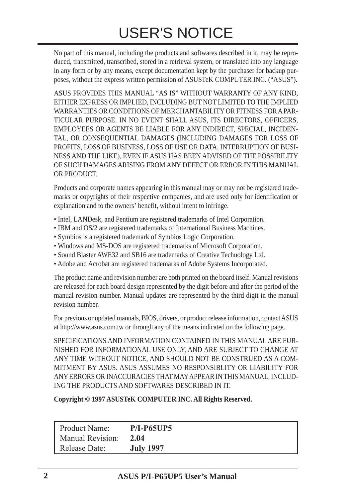# USER'S NOTICE

No part of this manual, including the products and softwares described in it, may be reproduced, transmitted, transcribed, stored in a retrieval system, or translated into any language in any form or by any means, except documentation kept by the purchaser for backup purposes, without the express written permission of ASUSTeK COMPUTER INC. ("ASUS").

ASUS PROVIDES THIS MANUAL "AS IS" WITHOUT WARRANTY OF ANY KIND, EITHER EXPRESS OR IMPLIED, INCLUDING BUT NOT LIMITED TO THE IMPLIED WARRANTIES OR CONDITIONS OF MERCHANTABILITY OR FITNESS FOR A PAR-TICULAR PURPOSE. IN NO EVENT SHALL ASUS, ITS DIRECTORS, OFFICERS, EMPLOYEES OR AGENTS BE LIABLE FOR ANY INDIRECT, SPECIAL, INCIDEN-TAL, OR CONSEQUENTIAL DAMAGES (INCLUDING DAMAGES FOR LOSS OF PROFITS, LOSS OF BUSINESS, LOSS OF USE OR DATA, INTERRUPTION OF BUSI-NESS AND THE LIKE), EVEN IF ASUS HAS BEEN ADVISED OF THE POSSIBILITY OF SUCH DAMAGES ARISING FROM ANY DEFECT OR ERROR IN THIS MANUAL OR PRODUCT.

Products and corporate names appearing in this manual may or may not be registered trademarks or copyrights of their respective companies, and are used only for identification or explanation and to the owners' benefit, without intent to infringe.

- Intel, LANDesk, and Pentium are registered trademarks of Intel Corporation.
- IBM and OS/2 are registered trademarks of International Business Machines.
- Symbios is a registered trademark of Symbios Logic Corporation.
- Windows and MS-DOS are registered trademarks of Microsoft Corporation.
- Sound Blaster AWE32 and SB16 are trademarks of Creative Technology Ltd.
- Adobe and Acrobat are registered trademarks of Adobe Systems Incorporated.

The product name and revision number are both printed on the board itself. Manual revisions are released for each board design represented by the digit before and after the period of the manual revision number. Manual updates are represented by the third digit in the manual revision number.

For previous or updated manuals, BIOS, drivers, or product release information, contact ASUS at http://www.asus.com.tw or through any of the means indicated on the following page.

SPECIFICATIONS AND INFORMATION CONTAINED IN THIS MANUAL ARE FUR-NISHED FOR INFORMATIONAL USE ONLY, AND ARE SUBJECT TO CHANGE AT ANY TIME WITHOUT NOTICE, AND SHOULD NOT BE CONSTRUED AS A COM-MITMENT BY ASUS. ASUS ASSUMES NO RESPONSIBLITY OR LIABILITY FOR ANY ERRORS OR INACCURACIES THAT MAY APPEAR IN THIS MANUAL, INCLUD-ING THE PRODUCTS AND SOFTWARES DESCRIBED IN IT.

**Copyright © 1997 ASUSTeK COMPUTER INC. All Rights Reserved.**

| <b>Product Name:</b>    | <b>P/I-P65UP5</b> |
|-------------------------|-------------------|
| <b>Manual Revision:</b> | 2.04              |
| <b>Release Date:</b>    | <b>July 1997</b>  |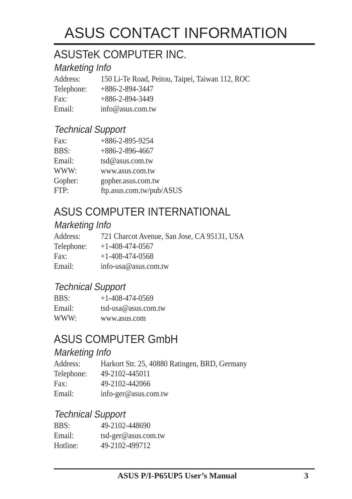# ASUS CONTACT INFORMATION

# ASUSTeK COMPUTER INC.

## Marketing Info

Address: 150 Li-Te Road, Peitou, Taipei, Taiwan 112, ROC Telephone: +886-2-894-3447 Fax: +886-2-894-3449 Email: info@asus.com.tw

### Technical Support

| Fax:    | $+886 - 2 - 895 - 9254$  |
|---------|--------------------------|
| BBS:    | $+886 - 2 - 896 - 4667$  |
| Email:  | tsd@asus.com.tw          |
| WWW:    | www.asus.com.tw          |
| Gopher: | gopher.asus.com.tw       |
| FTP:    | ftp.asus.com.tw/pub/ASUS |

# ASUS COMPUTER INTERNATIONAL

# Marketing Info

| Address:   | 721 Charcot Avenue, San Jose, CA 95131, USA |
|------------|---------------------------------------------|
| Telephone: | $+1-408-474-0567$                           |
| Fax:       | $+1-408-474-0568$                           |
| Email:     | info-usa@asus.com.tw                        |
|            |                                             |

### Technical Support

| BBS:   | $+1 - 408 - 474 - 0569$ |
|--------|-------------------------|
| Email: | $tsd-usa@assus.com.tw$  |
| WWW:   | www.asus.com            |

# ASUS COMPUTER GmbH

### Marketing Info

| Address:   | Harkort Str. 25, 40880 Ratingen, BRD, Germany |
|------------|-----------------------------------------------|
| Telephone: | 49-2102-445011                                |
| Fax:       | 49-2102-442066                                |
| Email:     | info-ger@asus.com.tw                          |

### Technical Support

| BBS:     | 49-2102-448690      |
|----------|---------------------|
| Email:   | tsd-ger@asus.com.tw |
| Hotline: | 49-2102-499712      |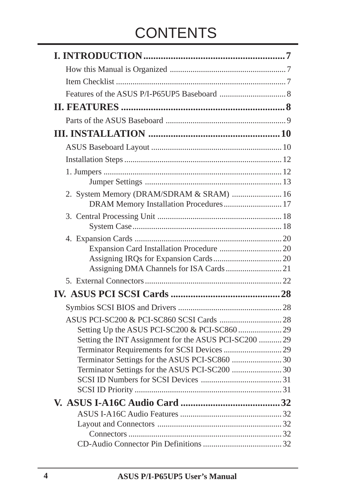# **CONTENTS**

| DRAM Memory Installation Procedures 17               |  |
|------------------------------------------------------|--|
|                                                      |  |
|                                                      |  |
|                                                      |  |
|                                                      |  |
| Assigning DMA Channels for ISA Cards  21             |  |
|                                                      |  |
|                                                      |  |
|                                                      |  |
|                                                      |  |
|                                                      |  |
| Setting the INT Assignment for the ASUS PCI-SC200 29 |  |
|                                                      |  |
|                                                      |  |
|                                                      |  |
|                                                      |  |
|                                                      |  |
|                                                      |  |
|                                                      |  |
|                                                      |  |
|                                                      |  |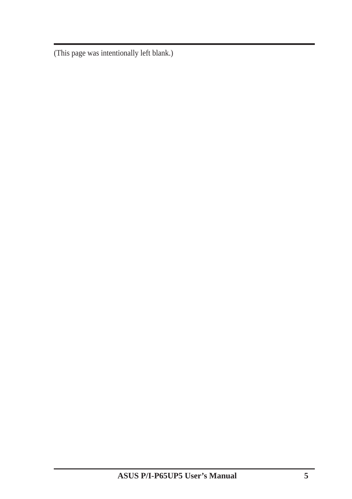(This page was intentionally left blank.)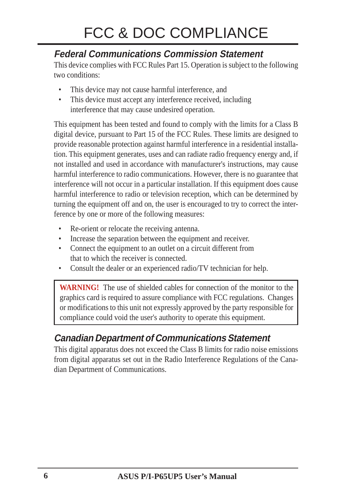# FCC & DOC COMPLIANCE

# **Federal Communications Commission Statement**

This device complies with FCC Rules Part 15. Operation is subject to the following two conditions:

- This device may not cause harmful interference, and
- This device must accept any interference received, including interference that may cause undesired operation.

This equipment has been tested and found to comply with the limits for a Class B digital device, pursuant to Part 15 of the FCC Rules. These limits are designed to provide reasonable protection against harmful interference in a residential installation. This equipment generates, uses and can radiate radio frequency energy and, if not installed and used in accordance with manufacturer's instructions, may cause harmful interference to radio communications. However, there is no guarantee that interference will not occur in a particular installation. If this equipment does cause harmful interference to radio or television reception, which can be determined by turning the equipment off and on, the user is encouraged to try to correct the interference by one or more of the following measures:

- Re-orient or relocate the receiving antenna.
- Increase the separation between the equipment and receiver.
- Connect the equipment to an outlet on a circuit different from that to which the receiver is connected.
- Consult the dealer or an experienced radio/TV technician for help.

**WARNING!** The use of shielded cables for connection of the monitor to the graphics card is required to assure compliance with FCC regulations. Changes or modifications to this unit not expressly approved by the party responsible for compliance could void the user's authority to operate this equipment.

# **Canadian Department of Communications Statement**

This digital apparatus does not exceed the Class B limits for radio noise emissions from digital apparatus set out in the Radio Interference Regulations of the Canadian Department of Communications.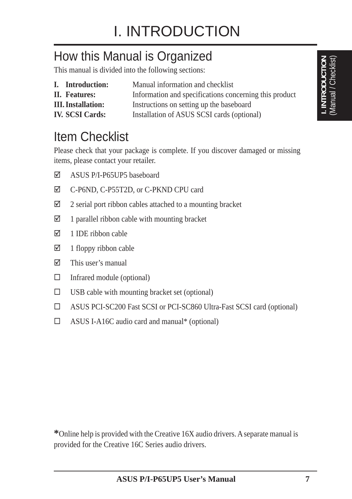# How this Manual is Organized

This manual is divided into the following sections:

**I. Introduction:** Manual information and checklist **II. Features:** Information and specifications concerning this product **III. Installation:** Instructions on setting up the baseboard **IV. SCSI Cards:** Installation of ASUS SCSI cards (optional)

# Item Checklist

Please check that your package is complete. If you discover damaged or missing items, please contact your retailer.

- $\nabla$  ASUS P/I-P65UP5 baseboard
- þ C-P6ND, C-P55T2D, or C-PKND CPU card
- $\boxtimes$  2 serial port ribbon cables attached to a mounting bracket
- $\boxtimes$  1 parallel ribbon cable with mounting bracket
- $\boxtimes$  1 IDE ribbon cable
- $\boxtimes$  1 floppy ribbon cable
- $\nabla$  This user's manual
- $\Box$  Infrared module (optional)
- $\square$  USB cable with mounting bracket set (optional)
- □ ASUS PCI-SC200 Fast SCSI or PCI-SC860 Ultra-Fast SCSI card (optional)
- $\Box$  ASUS I-A16C audio card and manual\* (optional)

**\***Online help is provided with the Creative 16X audio drivers. A separate manual is provided for the Creative 16C Series audio drivers.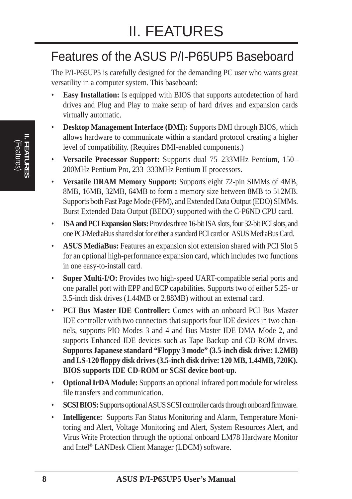# Features of the ASUS P/I-P65UP5 Baseboard

The P/I-P65UP5 is carefully designed for the demanding PC user who wants great versatility in a computer system. This baseboard:

- **Easy Installation:** Is equipped with BIOS that supports autodetection of hard drives and Plug and Play to make setup of hard drives and expansion cards virtually automatic.
- **Desktop Management Interface (DMI):** Supports DMI through BIOS, which allows hardware to communicate within a standard protocol creating a higher level of compatibility. (Requires DMI-enabled components.)
- **Versatile Processor Support:** Supports dual 75–233MHz Pentium, 150– 200MHz Pentium Pro, 233–333MHz Pentium II processors.
- **Versatile DRAM Memory Support:** Supports eight 72-pin SIMMs of 4MB, 8MB, 16MB, 32MB, 64MB to form a memory size between 8MB to 512MB. Supports both Fast Page Mode (FPM), and Extended Data Output (EDO) SIMMs. Burst Extended Data Output (BEDO) supported with the C-P6ND CPU card.
- **ISA and PCI Expansion Slots:** Provides three 16-bit ISA slots, four 32-bit PCI slots, and one PCI/MediaBus shared slot for either a standard PCI card or ASUS MediaBus Card.
- **ASUS MediaBus:** Features an expansion slot extension shared with PCI Slot 5 for an optional high-performance expansion card, which includes two functions in one easy-to-install card.
- **Super Multi-I/O:** Provides two high-speed UART-compatible serial ports and one parallel port with EPP and ECP capabilities. Supports two of either 5.25- or 3.5-inch disk drives (1.44MB or 2.88MB) without an external card.
- **PCI Bus Master IDE Controller:** Comes with an onboard PCI Bus Master IDE controller with two connectors that supports four IDE devices in two channels, supports PIO Modes 3 and 4 and Bus Master IDE DMA Mode 2, and supports Enhanced IDE devices such as Tape Backup and CD-ROM drives. **Supports Japanese standard "Floppy 3 mode" (3.5-inch disk drive: 1.2MB) and LS-120 floppy disk drives (3.5-inch disk drive: 120 MB, 1.44MB, 720K). BIOS supports IDE CD-ROM or SCSI device boot-up.**
- **Optional IrDA Module:** Supports an optional infrared port module for wireless file transfers and communication.
- **SCSI BIOS:** Supports optional ASUS SCSI controller cards through onboard firmware.
- **Intelligence:** Supports Fan Status Monitoring and Alarm, Temperature Monitoring and Alert, Voltage Monitoring and Alert, System Resources Alert, and Virus Write Protection through the optional onboard LM78 Hardware Monitor and Intel® LANDesk Client Manager (LDCM) software.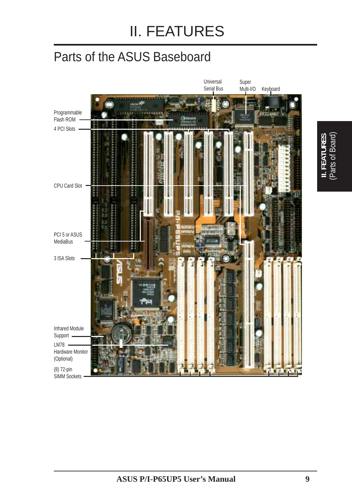# Parts of the ASUS Baseboard

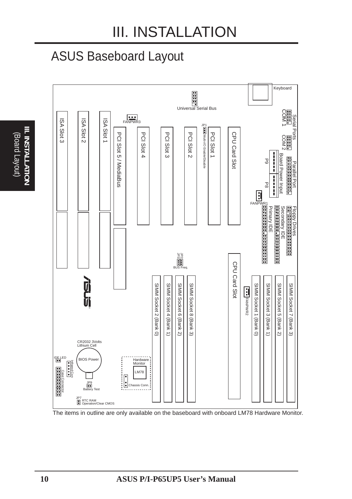# ASUS Baseboard Layout



The items in outline are only available on the baseboard with onboard LM78 Hardware Monitor.

(Board Layout) **III. INSTALLATION**

III. INSTALLATION<br>(Board Layout)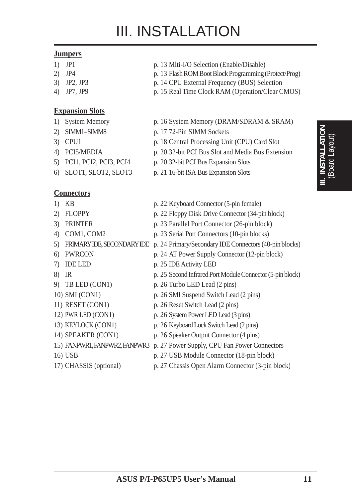# III. INSTALLATION

#### **Jumpers**

- 
- 
- 
- 

#### **Expansion Slots**

- 
- 
- 
- 
- 
- 

#### **Connectors**

- 
- 
- 
- 
- 
- 
- 
- 
- 
- 
- 
- 
- 
- 
- 
- 
- 
- 1) JP1 p. 13 Mlti-I/O Selection (Enable/Disable)
- 2) JP4 p. 13 Flash ROM Boot Block Programming (Protect/Prog)
- 3) JP2, JP3 p. 14 CPU External Frequency (BUS) Selection
- 4) JP7, JP9 p. 15 Real Time Clock RAM (Operation/Clear CMOS)
- 1) System Memory p. 16 System Memory (DRAM/SDRAM & SRAM)
- 2) SIMM1–SIMM8 p. 17 72-Pin SIMM Sockets
- 3) CPU1 p. 18 Central Processing Unit (CPU) Card Slot
- 4) PCI5/MEDIA p. 20 32-bit PCI Bus Slot and Media Bus Extension
- 5) PCI1, PCI2, PCI3, PCI4 p. 20 32-bit PCI Bus Expansion Slots
- 6) SLOT1, SLOT2, SLOT3 p. 21 16-bit ISA Bus Expansion Slots

- 1) KB p. 22 Keyboard Connector (5-pin female)
- 2) FLOPPY p. 22 Floppy Disk Drive Connector (34-pin block)
- 3) PRINTER p. 23 Parallel Port Connector (26-pin block)
- 4) COM1, COM2 p. 23 Serial Port Connectors (10-pin blocks)
- 5) PRIMARY IDE, SECONDARY IDE p. 24 Primary/Secondary IDE Connectors (40-pin blocks)
- 6) PWRCON p. 24 AT Power Supply Connector (12-pin block)
- 7) IDE LED p. 25 IDE Activity LED
- 8) IR p. 25 Second Infrared Port Module Connector (5-pin block)
- 9) TB LED (CON1) p. 26 Turbo LED Lead (2 pins)
- 10) SMI (CON1) p. 26 SMI Suspend Switch Lead (2 pins)
- 11) RESET (CON1) p. 26 Reset Switch Lead (2 pins)
- 12) PWR LED (CON1) p. 26 System Power LED Lead (3 pins)
- 13) KEYLOCK (CON1) p. 26 Keyboard Lock Switch Lead (2 pins)
- 14) SPEAKER (CON1) p. 26 Speaker Output Connector (4 pins)
- 15) FANPWR1, FANPWR2, FANPWR3 p. 27 Power Supply, CPU Fan Power Connectors
- 16) USB p. 27 USB Module Connector (18-pin block)
- 17) CHASSIS (optional) p. 27 Chassis Open Alarm Connector (3-pin block)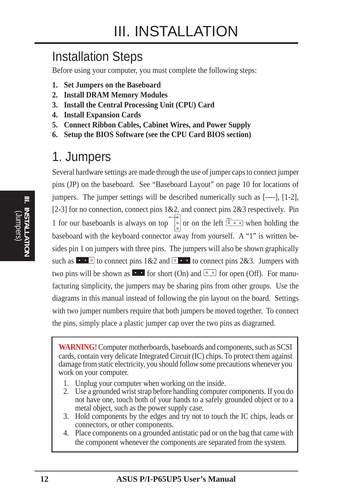# Installation Steps

Before using your computer, you must complete the following steps:

- **1. Set Jumpers on the Baseboard**
- **2. Install DRAM Memory Modules**
- **3. Install the Central Processing Unit (CPU) Card**
- **4. Install Expansion Cards**
- **5. Connect Ribbon Cables, Cabinet Wires, and Power Supply**
- **6. Setup the BIOS Software (see the CPU Card BIOS section)**

# 1. Jumpers

Several hardware settings are made through the use of jumper caps to connect jumper pins (JP) on the baseboard. See "Baseboard Layout" on page 10 for locations of jumpers. The jumper settings will be described numerically such as [----], [1-2], [2-3] for no connection, connect pins 1&2, and connect pins 2&3 respectively. Pin 1 for our baseboards is always on top  $\int_{0}^{\frac{p_{0}+1}{p_{0}}}$  or on the left  $\frac{p_{0}+1}{p_{0}-p_{0}}$  when holding the baseboard with the keyboard connector away from yourself. A "1" is written besides pin 1 on jumpers with three pins. The jumpers will also be shown graphically such as  $\cdot \cdot \cdot$  to connect pins  $1\&2$  and  $\cdot \cdot \cdot$  to connect pins 2&3. Jumpers with two pins will be shown as **For** for short (On) and  $\boxed{a}$  for open (Off). For manufacturing simplicity, the jumpers may be sharing pins from other groups. Use the diagrams in this manual instead of following the pin layout on the board. Settings with two jumper numbers require that both jumpers be moved together. To connect the pins, simply place a plastic jumper cap over the two pins as diagramed.

**WARNING!** Computer motherboards, baseboards and components, such as SCSI cards, contain very delicate Integrated Circuit (IC) chips. To protect them against damage from static electricity, you should follow some precautions whenever you work on your computer.

- 1. Unplug your computer when working on the inside.
- 2. Use a grounded wrist strap before handling computer components. If you do not have one, touch both of your hands to a safely grounded object or to a metal object, such as the power supply case.
- 3. Hold components by the edges and try not to touch the IC chips, leads or connectors, or other components.
- 4. Place components on a grounded antistatic pad or on the bag that came with the component whenever the components are separated from the system.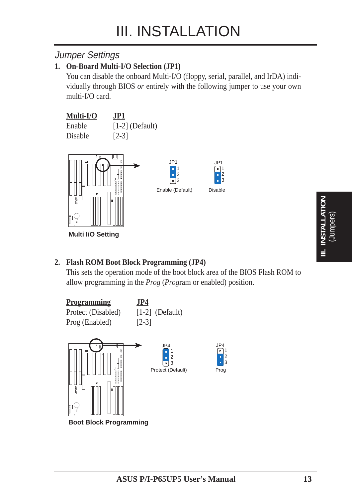### Jumper Settings

### **1. On-Board Multi-I/O Selection (JP1)**

You can disable the onboard Multi-I/O (floppy, serial, parallel, and IrDA) individually through BIOS *or* entirely with the following jumper to use your own multi-I/O card.





**Multi I/O Setting**

#### **2. Flash ROM Boot Block Programming (JP4)**

This sets the operation mode of the boot block area of the BIOS Flash ROM to allow programming in the *Prog* (*Prog*ram or enabled) position.

> 1 2 3



**Boot Block Programming**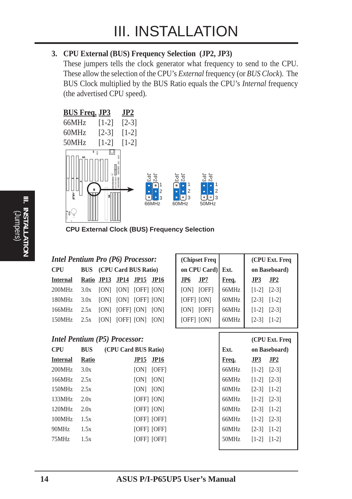#### **3. CPU External (BUS) Frequency Selection (JP2, JP3)**

These jumpers tells the clock generator what frequency to send to the CPU. These allow the selection of the CPU's *External* frequency (or *BUS Clock*). The BUS Clock multiplied by the BUS Ratio equals the CPU's *Internal* frequency (the advertised CPU speed).



**CPU External Clock (BUS) Frequency Selection**

#### **Intel Pentium Pro (P6) Processor:**

| <b>CPU</b>                                   |  | <b>BUS</b> (CPU Card BUS Ratio) |  |                | on CPU Card) Ext. |       | on Baseboa      |     |
|----------------------------------------------|--|---------------------------------|--|----------------|-------------------|-------|-----------------|-----|
| <b>Internal</b>                              |  | Ratio JP13 JP14 JP15 JP16       |  | $JP6$ $JP7$    |                   | Freq. | JP3             | JP2 |
| 200MHz 3.0x [ON] [ON] [OFF] [ON]             |  |                                 |  |                | $[ON]$ $[OFF]$    | 66MHz | $[1-2]$ $[2-3]$ |     |
| $180MHz$ $3.0x$ $[ON]$ $[ON]$ $[OFF]$ $[ON]$ |  |                                 |  | $[OFF]$ $[ON]$ |                   | 60MHz | $[2-3] [1-2]$   |     |
| 166MHz 2.5x [ON] [OFF] [ON] [ON]             |  |                                 |  |                | $[ON]$ $[OFF]$    | 66MHz | $[1-2]$ $[2-3]$ |     |
| $150MHz$ $2.5x$                              |  | $[ON]$ $[OFF]$ $[ON]$ $[ON]$    |  | $[OFF]$ $[ON]$ |                   | 60MHz | $[2-3]$ $[1-2]$ |     |

#### *Intel Pentium (P5) Processor:*

| <b>CPU</b>      | <b>BUS</b>   | (CPU Card BUS Ratio) | Ext.  |               | on Baseboard) |
|-----------------|--------------|----------------------|-------|---------------|---------------|
| <b>Internal</b> | <b>Ratio</b> | <b>JP15</b> JP16     | Freq. | JP3           | JP2           |
| 200MHz          | 3.0x         | [OFF]<br>[ON]        | 66MHz | $[1-2]$       | $[2-3]$       |
| 166MHz          | 2.5x         | $[ON]$ $[ON]$        | 66MHz | $[1-2]$       | $[2-3]$       |
| 150MHz          | 2.5x         | $[ON]$ $[ON]$        | 60MHz | $[2-3] [1-2]$ |               |
| 133MHz          | 2.0x         | $[OFF]$ $[ON]$       | 66MHz | $[1-2]$       | $[2-3]$       |
| 120MHz          | 2.0x         | $[OFF]$ $[ON]$       | 60MHz | $[2-3]$       | $[1-2]$       |
| 100MHz          | 1.5x         | $[OFF]$ $[OFF]$      | 66MHz | $[1-2]$       | $[2-3]$       |
| 90MHz           | 1.5x         | $[OFF]$ $[OFF]$      | 60MHz | $[2-3]$       | $[1-2]$       |
| 75MHz           | 1.5x         | $[OFF]$ $[OFF]$      | 50MHz | $[1-2]$       | $[1-2]$       |

| <b>Intel Pentium Pro (P6) Processor:</b> |                                 |             | (Chipset Freq             |                 |                   | (CPU Ext. Freq  |       |               |         |         |
|------------------------------------------|---------------------------------|-------------|---------------------------|-----------------|-------------------|-----------------|-------|---------------|---------|---------|
| <b>CPU</b>                               | <b>BUS</b> (CPU Card BUS Ratio) |             |                           |                 | on CPU Card) Ext. |                 |       | on Baseboard) |         |         |
| Internal                                 |                                 |             | Ratio JP13 JP14 JP15 JP16 |                 |                   | JP <sub>6</sub> | JP7   | Freq.         | JP3     | JP2     |
| 200MHz                                   | 3.0x                            | [ON]        |                           | [ON] [OFF] [ON] |                   | [ON]            | [OFF] | 66MHz         | $[1-2]$ | $[2-3]$ |
| 180MHz                                   | 3.0x                            | [ON]        |                           | [ON] [OFF] [ON] |                   | $[OFF]$ $[ON]$  |       | 60MHz         | $[2-3]$ | $[1-2]$ |
| 166MHz                                   | 2.5x                            | <b>TONT</b> | $[OFF]$ $[ON]$            |                 | <b>TONI</b>       | IONI            | [OFF] | 66MHz         | $[1-2]$ | $[2-3]$ |
| 150MHz                                   | 2.5x                            | <b>TONT</b> | $[OFF]$ $[ON]$            |                 | <b>TONT</b>       | $[OFF]$ $[ON]$  |       | 60MHz         | $[2-3]$ | $[1-2]$ |
|                                          |                                 |             |                           |                 |                   |                 |       |               |         |         |

|       |                     | <b>(CPU Ext. Freq</b> |  |  |  |  |
|-------|---------------------|-----------------------|--|--|--|--|
| Ext.  |                     | on Baseboard)         |  |  |  |  |
| Freq. | JP3                 | JP2                   |  |  |  |  |
| 66MHz | $\lceil 1-2 \rceil$ | $[2-3]$               |  |  |  |  |
| 66MHz | $\lceil 1-2 \rceil$ | $[2-3]$               |  |  |  |  |
| 60MHz | $[2-3]$             | $[1-2]$               |  |  |  |  |
| 66MHz | $\lceil 1-2 \rceil$ | $[2-3]$               |  |  |  |  |
| 60MHz | $[2-3]$             | $[1-2]$               |  |  |  |  |
| 66MHz | $\lceil 1-2 \rceil$ | $[2-3]$               |  |  |  |  |
| 60MHz | $[2-3]$             | $[1-2]$               |  |  |  |  |
| 50MHz | $\lceil 1-2 \rceil$ | $[1-2]$               |  |  |  |  |
|       |                     |                       |  |  |  |  |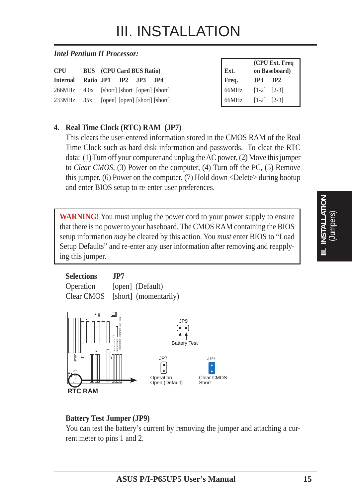# III. INSTALLATION

#### *Intel Pentium II Processor:*

| <b>CPU</b>                                | BUS (CPU Card BUS Ratio) |  | <b>Ext.</b> on Baseboard) |                                                                |  |
|-------------------------------------------|--------------------------|--|---------------------------|----------------------------------------------------------------|--|
| <b>Internal</b>                           | Ratio JP1 JP2 JP3 JP4    |  |                           |                                                                |  |
| 266MHz 4.0x [short] [short [open] [short] |                          |  |                           | <b>Freq. JP3 JP2</b><br>66MHz [1-2] [2-3]<br>66MHz [1-2] [2-3] |  |
| 233MHz 35x [open] [open] [short] [short]  |                          |  |                           |                                                                |  |

|       | (CPU Ext. Freq                                                                    |     |  |  |
|-------|-----------------------------------------------------------------------------------|-----|--|--|
| Ext.  | on Baseboard)                                                                     |     |  |  |
| Freq. | JP3                                                                               | JP2 |  |  |
| 66MHz | $\begin{bmatrix} 1-2 \\ 2 \end{bmatrix}$ $\begin{bmatrix} 2-3 \\ 1 \end{bmatrix}$ |     |  |  |
| 66MHz | $\begin{bmatrix} 1-2 \\ 2-3 \end{bmatrix}$                                        |     |  |  |

#### **4. Real Time Clock (RTC) RAM (JP7)**

This clears the user-entered information stored in the CMOS RAM of the Real Time Clock such as hard disk information and passwords. To clear the RTC data: (1) Turn off your computer and unplug the AC power, (2) Move this jumper to *Clear CMOS*, (3) Power on the computer, (4) Turn off the PC, (5) Remove this jumper, (6) Power on the computer, (7) Hold down <Delete> during bootup and enter BIOS setup to re-enter user preferences.

**WARNING!** You must unplug the power cord to your power supply to ensure that there is no power to your baseboard. The CMOS RAM containing the BIOS setup information *may* be cleared by this action. You *must* enter BIOS to "Load Setup Defaults" and re-enter any user information after removing and reapplying this jumper.



#### **Battery Test Jumper (JP9)**

You can test the battery's current by removing the jumper and attaching a current meter to pins 1 and 2.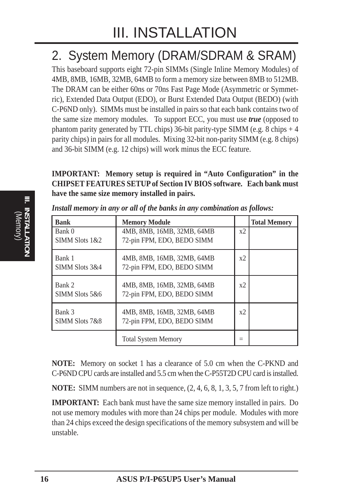# 2. System Memory (DRAM/SDRAM & SRAM)

This baseboard supports eight 72-pin SIMMs (Single Inline Memory Modules) of 4MB, 8MB, 16MB, 32MB, 64MB to form a memory size between 8MB to 512MB. The DRAM can be either 60ns or 70ns Fast Page Mode (Asymmetric or Symmetric), Extended Data Output (EDO), or Burst Extended Data Output (BEDO) (with C-P6ND only). SIMMs must be installed in pairs so that each bank contains two of the same size memory modules. To support ECC, you must use *true* (opposed to phantom parity generated by TTL chips) 36-bit parity-type SIMM (e.g.  $8 \text{ chips} + 4$ parity chips) in pairs for all modules. Mixing 32-bit non-parity SIMM (e.g. 8 chips) and 36-bit SIMM (e.g. 12 chips) will work minus the ECC feature.

**IMPORTANT: Memory setup is required in "Auto Configuration" in the CHIPSET FEATURES SETUP of Section IV BIOS software. Each bank must have the same size memory installed in pairs.**

| <b>Bank</b>              | <b>Memory Module</b>                                     |    | <b>Total Memory</b> |
|--------------------------|----------------------------------------------------------|----|---------------------|
| Bank 0<br>SIMM Slots 1&2 | 4MB, 8MB, 16MB, 32MB, 64MB<br>72-pin FPM, EDO, BEDO SIMM | x2 |                     |
| Bank 1<br>SIMM Slots 3&4 | 4MB, 8MB, 16MB, 32MB, 64MB<br>72-pin FPM, EDO, BEDO SIMM | x2 |                     |
| Bank 2<br>SIMM Slots 5&6 | 4MB, 8MB, 16MB, 32MB, 64MB<br>72-pin FPM, EDO, BEDO SIMM | x2 |                     |
| Bank 3<br>SIMM Slots 7&8 | 4MB, 8MB, 16MB, 32MB, 64MB<br>72-pin FPM, EDO, BEDO SIMM | x2 |                     |
|                          | <b>Total System Memory</b>                               |    |                     |

*Install memory in any or all of the banks in any combination as follows:*

**NOTE:** Memory on socket 1 has a clearance of 5.0 cm when the C-PKND and C-P6ND CPU cards are installed and 5.5 cm when the C-P55T2D CPU card is installed.

**NOTE:** SIMM numbers are not in sequence, (2, 4, 6, 8, 1, 3, 5, 7 from left to right.)

**IMPORTANT:** Each bank must have the same size memory installed in pairs. Do not use memory modules with more than 24 chips per module. Modules with more than 24 chips exceed the design specifications of the memory subsystem and will be unstable.

**III. INSTALLATION TANESTALL**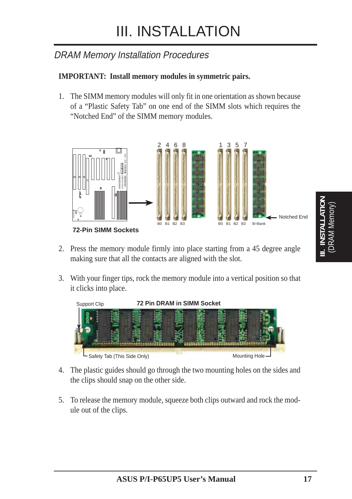# DRAM Memory Installation Procedures

#### **IMPORTANT: Install memory modules in symmetric pairs.**

1. The SIMM memory modules will only fit in one orientation as shown because of a "Plastic Safety Tab" on one end of the SIMM slots which requires the "Notched End" of the SIMM memory modules.



- 2. Press the memory module firmly into place starting from a 45 degree angle making sure that all the contacts are aligned with the slot.
- 3. With your finger tips, rock the memory module into a vertical position so that it clicks into place.



- 4. The plastic guides should go through the two mounting holes on the sides and the clips should snap on the other side.
- 5. To release the memory module, squeeze both clips outward and rock the module out of the clips.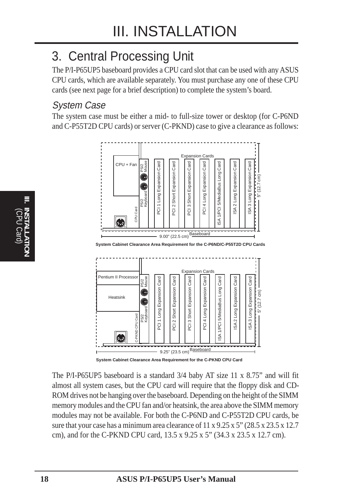# 3. Central Processing Unit

The P/I-P65UP5 baseboard provides a CPU card slot that can be used with any ASUS CPU cards, which are available separately. You must purchase any one of these CPU cards (see next page for a brief description) to complete the system's board.

# System Case

The system case must be either a mid- to full-size tower or desktop (for C-P6ND and C-P55T2D CPU cards) or server (C-PKND) case to give a clearance as follows:





The P/I-P65UP5 baseboard is a standard 3/4 baby AT size 11 x 8.75" and will fit almost all system cases, but the CPU card will require that the floppy disk and CD-ROM drives not be hanging over the baseboard. Depending on the height of the SIMM memory modules and the CPU fan and/or heatsink, the area above the SIMM memory modules may not be available. For both the C-P6ND and C-P55T2D CPU cards, be sure that your case has a minimum area clearance of 11 x 9.25 x 5" (28.5 x 23.5 x 12.7 cm), and for the C-PKND CPU card, 13.5 x 9.25 x 5" (34.3 x 23.5 x 12.7 cm).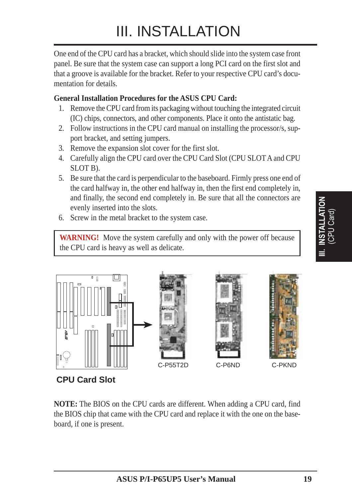One end of the CPU card has a bracket, which should slide into the system case front panel. Be sure that the system case can support a long PCI card on the first slot and that a groove is available for the bracket. Refer to your respective CPU card's documentation for details.

#### **General Installation Procedures for the ASUS CPU Card:**

- 1. Remove the CPU card from its packaging without touching the integrated circuit (IC) chips, connectors, and other components. Place it onto the antistatic bag.
- 2. Follow instructions in the CPU card manual on installing the processor/s, support bracket, and setting jumpers.
- 3. Remove the expansion slot cover for the first slot.
- 4. Carefully align the CPU card over the CPU Card Slot (CPU SLOT A and CPU SLOT B).
- 5. Be sure that the card is perpendicular to the baseboard. Firmly press one end of the card halfway in, the other end halfway in, then the first end completely in, and finally, the second end completely in. Be sure that all the connectors are evenly inserted into the slots.
- 6. Screw in the metal bracket to the system case.

**WARNING!** Move the system carefully and only with the power off because the CPU card is heavy as well as delicate.









**CPU Card Slot**

**NOTE:** The BIOS on the CPU cards are different. When adding a CPU card, find the BIOS chip that came with the CPU card and replace it with the one on the baseboard, if one is present.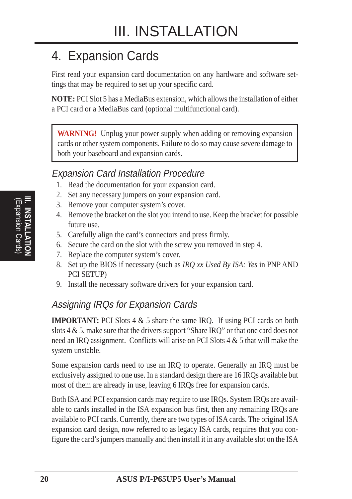# 4. Expansion Cards

First read your expansion card documentation on any hardware and software settings that may be required to set up your specific card.

**NOTE:** PCI Slot 5 has a MediaBus extension, which allows the installation of either a PCI card or a MediaBus card (optional multifunctional card).

**WARNING!** Unplug your power supply when adding or removing expansion cards or other system components. Failure to do so may cause severe damage to both your baseboard and expansion cards.

### Expansion Card Installation Procedure

- 1. Read the documentation for your expansion card.
- 2. Set any necessary jumpers on your expansion card.
- 3. Remove your computer system's cover.
- 4. Remove the bracket on the slot you intend to use. Keep the bracket for possible future use.
- 5. Carefully align the card's connectors and press firmly.
- 6. Secure the card on the slot with the screw you removed in step 4.
- 7. Replace the computer system's cover.
- 8. Set up the BIOS if necessary (such as *IRQ xx Used By ISA: Yes* in PNP AND PCI SETUP)
- 9. Install the necessary software drivers for your expansion card.

# Assigning IRQs for Expansion Cards

**IMPORTANT:** PCI Slots 4 & 5 share the same IRQ. If using PCI cards on both slots 4 & 5, make sure that the drivers support "Share IRQ" or that one card does not need an IRQ assignment. Conflicts will arise on PCI Slots 4 & 5 that will make the system unstable.

Some expansion cards need to use an IRQ to operate. Generally an IRQ must be exclusively assigned to one use. In a standard design there are 16 IRQs available but most of them are already in use, leaving 6 IRQs free for expansion cards.

Both ISA and PCI expansion cards may require to use IRQs. System IRQs are available to cards installed in the ISA expansion bus first, then any remaining IRQs are available to PCI cards. Currently, there are two types of ISA cards. The original ISA expansion card design, now referred to as legacy ISA cards, requires that you configure the card's jumpers manually and then install it in any available slot on the ISA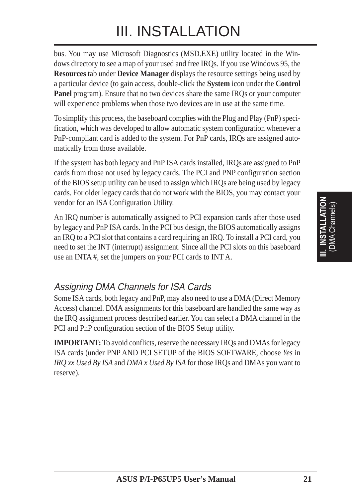bus. You may use Microsoft Diagnostics (MSD.EXE) utility located in the Windows directory to see a map of your used and free IRQs. If you use Windows 95, the **Resources** tab under **Device Manager** displays the resource settings being used by a particular device (to gain access, double-click the **System** icon under the **Control Panel** program). Ensure that no two devices share the same IRQs or your computer will experience problems when those two devices are in use at the same time.

To simplify this process, the baseboard complies with the Plug and Play (PnP) specification, which was developed to allow automatic system configuration whenever a PnP-compliant card is added to the system. For PnP cards, IRQs are assigned automatically from those available.

If the system has both legacy and PnP ISA cards installed, IRQs are assigned to PnP cards from those not used by legacy cards. The PCI and PNP configuration section of the BIOS setup utility can be used to assign which IRQs are being used by legacy cards. For older legacy cards that do not work with the BIOS, you may contact your vendor for an ISA Configuration Utility.

An IRQ number is automatically assigned to PCI expansion cards after those used by legacy and PnP ISA cards. In the PCI bus design, the BIOS automatically assigns an IRQ to a PCI slot that contains a card requiring an IRQ. To install a PCI card, you need to set the INT (interrupt) assignment. Since all the PCI slots on this baseboard use an INTA #, set the jumpers on your PCI cards to INT A.

### Assigning DMA Channels for ISA Cards

Some ISA cards, both legacy and PnP, may also need to use a DMA (Direct Memory Access) channel. DMA assignments for this baseboard are handled the same way as the IRQ assignment process described earlier. You can select a DMA channel in the PCI and PnP configuration section of the BIOS Setup utility.

**IMPORTANT:** To avoid conflicts, reserve the necessary IRQs and DMAs for legacy ISA cards (under PNP AND PCI SETUP of the BIOS SOFTWARE, choose *Yes* in *IRQ xx Used By ISA* and *DMA x Used By ISA* for those IRQs and DMAs you want to reserve).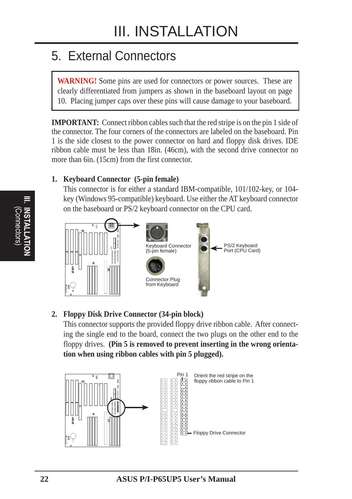# 5. External Connectors

**WARNING!** Some pins are used for connectors or power sources. These are clearly differentiated from jumpers as shown in the baseboard layout on page 10. Placing jumper caps over these pins will cause damage to your baseboard.

**IMPORTANT:** Connect ribbon cables such that the red stripe is on the pin 1 side of the connector. The four corners of the connectors are labeled on the baseboard. Pin 1 is the side closest to the power connector on hard and floppy disk drives. IDE ribbon cable must be less than 18in. (46cm), with the second drive connector no more than 6in. (15cm) from the first connector.

#### **1. Keyboard Connector (5-pin female)**

This connector is for either a standard IBM-compatible, 101/102-key, or 104 key (Windows 95-compatible) keyboard. Use either the AT keyboard connector on the baseboard or PS/2 keyboard connector on the CPU card.





### **2. Floppy Disk Drive Connector (34-pin block)**

This connector supports the provided floppy drive ribbon cable. After connecting the single end to the board, connect the two plugs on the other end to the floppy drives. **(Pin 5 is removed to prevent inserting in the wrong orientation when using ribbon cables with pin 5 plugged).**

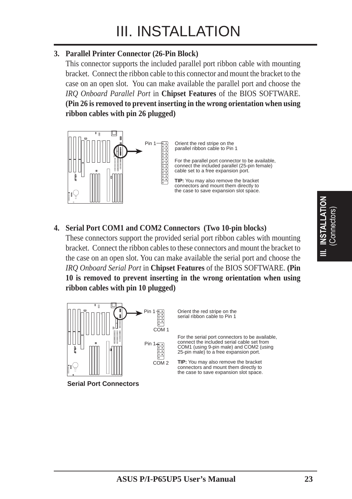#### **3. Parallel Printer Connector (26-Pin Block)**

This connector supports the included parallel port ribbon cable with mounting bracket. Connect the ribbon cable to this connector and mount the bracket to the case on an open slot. You can make available the parallel port and choose the *IRQ Onboard Parallel Port* in **Chipset Features** of the BIOS SOFTWARE. **(Pin 26 is removed to prevent inserting in the wrong orientation when using ribbon cables with pin 26 plugged)**



**4. Serial Port COM1 and COM2 Connectors (Two 10-pin blocks)**

These connectors support the provided serial port ribbon cables with mounting bracket. Connect the ribbon cables to these connectors and mount the bracket to the case on an open slot. You can make available the serial port and choose the *IRQ Onboard Serial Port* in **Chipset Features** of the BIOS SOFTWARE. **(Pin 10 is removed to prevent inserting in the wrong orientation when using ribbon cables with pin 10 plugged)**



**Serial Port Connectors**

Orient the red stripe on the serial ribbon cable to Pin 1

For the serial port connectors to be available, connect the included serial cable set from COM1 (using 9-pin male) and COM2 (using 25-pin male) to a free expansion port.

**TIP:** You may also remove the bracket connectors and mount them directly to the case to save expansion slot space.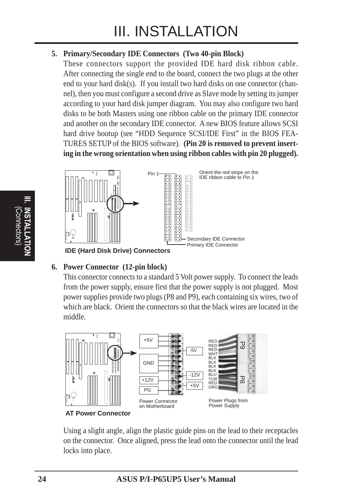### **5. Primary/Secondary IDE Connectors (Two 40-pin Block)**

These connectors support the provided IDE hard disk ribbon cable. After connecting the single end to the board, connect the two plugs at the other end to your hard disk(s). If you install two hard disks on one connector (channel), then you must configure a second drive as Slave mode by setting its jumper according to your hard disk jumper diagram. You may also configure two hard disks to be both Masters using one ribbon cable on the primary IDE connector and another on the secondary IDE connector. A new BIOS feature allows SCSI hard drive bootup (see "HDD Sequence SCSI/IDE First" in the BIOS FEA-TURES SETUP of the BIOS software). **(Pin 20 is removed to prevent inserting in the wrong orientation when using ribbon cables with pin 20 plugged).**



#### **6. Power Connector (12-pin block)**

This connector connects to a standard 5 Volt power supply. To connect the leads from the power supply, ensure first that the power supply is not plugged. Most power supplies provide two plugs (P8 and P9), each containing six wires, two of which are black. Orient the connectors so that the black wires are located in the middle.



Using a slight angle, align the plastic guide pins on the lead to their receptacles on the connector. Once aligned, press the lead onto the connector until the lead locks into place.

(Connectors) **III. INSTALLATION**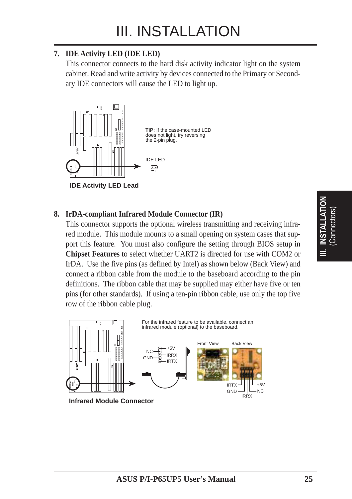#### **7. IDE Activity LED (IDE LED)**

This connector connects to the hard disk activity indicator light on the system cabinet. Read and write activity by devices connected to the Primary or Secondary IDE connectors will cause the LED to light up.



#### **8. IrDA-compliant Infrared Module Connector (IR)**

This connector supports the optional wireless transmitting and receiving infrared module. This module mounts to a small opening on system cases that support this feature. You must also configure the setting through BIOS setup in **Chipset Features** to select whether UART2 is directed for use with COM2 or IrDA. Use the five pins (as defined by Intel) as shown below (Back View) and connect a ribbon cable from the module to the baseboard according to the pin definitions. The ribbon cable that may be supplied may either have five or ten pins (for other standards). If using a ten-pin ribbon cable, use only the top five row of the ribbon cable plug.

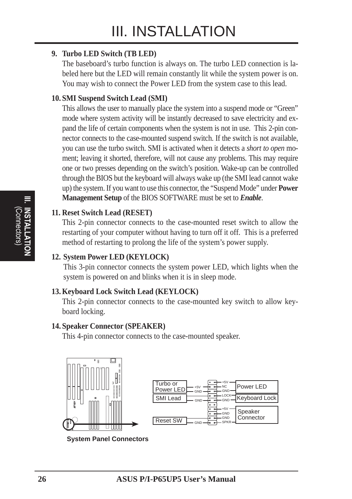#### **9. Turbo LED Switch (TB LED)**

The baseboard's turbo function is always on. The turbo LED connection is labeled here but the LED will remain constantly lit while the system power is on. You may wish to connect the Power LED from the system case to this lead.

#### **10. SMI Suspend Switch Lead (SMI)**

This allows the user to manually place the system into a suspend mode or "Green" mode where system activity will be instantly decreased to save electricity and expand the life of certain components when the system is not in use. This 2-pin connector connects to the case-mounted suspend switch. If the switch is not available, you can use the turbo switch. SMI is activated when it detects a *short to open* moment; leaving it shorted, therefore, will not cause any problems. This may require one or two presses depending on the switch's position. Wake-up can be controlled through the BIOS but the keyboard will always wake up (the SMI lead cannot wake up) the system. If you want to use this connector, the "Suspend Mode" under **Power Management Setup** of the BIOS SOFTWARE must be set to *Enable*.

#### **11. Reset Switch Lead (RESET)**

This 2-pin connector connects to the case-mounted reset switch to allow the restarting of your computer without having to turn off it off. This is a preferred method of restarting to prolong the life of the system's power supply.

### **12. System Power LED (KEYLOCK)**

This 3-pin connector connects the system power LED, which lights when the system is powered on and blinks when it is in sleep mode.

### **13. Keyboard Lock Switch Lead (KEYLOCK)**

This 2-pin connector connects to the case-mounted key switch to allow keyboard locking.

#### **14. Speaker Connector (SPEAKER)**

This 4-pin connector connects to the case-mounted speaker.





**System Panel Connectors**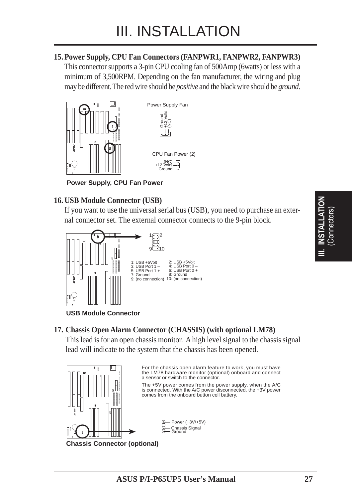#### **15. Power Supply, CPU Fan Connectors (FANPWR1, FANPWR2, FANPWR3)**

This connector supports a 3-pin CPU cooling fan of 500Amp (6watts) or less with a minimum of 3,500RPM. Depending on the fan manufacturer, the wiring and plug may be different. The red wire should be *positive* and the black wire should be *ground*.



**Power Supply, CPU Fan Power**

#### **16. USB Module Connector (USB)**

If you want to use the universal serial bus (USB), you need to purchase an external connector set. The external connector connects to the 9-pin block.



**USB Module Connector**

### **17. Chassis Open Alarm Connector (CHASSIS) (with optional LM78)**

This lead is for an open chassis monitor. A high level signal to the chassis signal lead will indicate to the system that the chassis has been opened.



For the chassis open alarm feature to work, you must have the LM78 hardware monitor (optional) onboard and connect a sensor or switch to the connector.

The +5V power comes from the power supply, when the A/C is connected. With the A/C power disconnected, the +3V power comes from the onboard button cell battery.



**Chassis Connector (optional)**

Chassis Signal<br>Ground Power (+3V/+5V)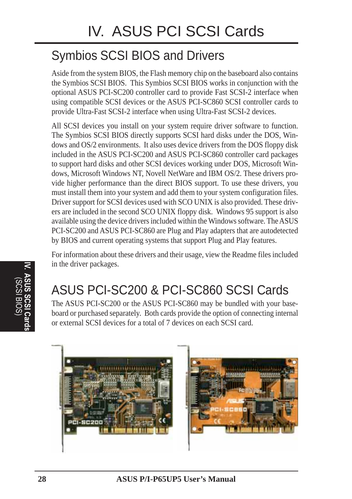# IV. ASUS PCI SCSI Cards

# Symbios SCSI BIOS and Drivers

Aside from the system BIOS, the Flash memory chip on the baseboard also contains the Symbios SCSI BIOS. This Symbios SCSI BIOS works in conjunction with the optional ASUS PCI-SC200 controller card to provide Fast SCSI-2 interface when using compatible SCSI devices or the ASUS PCI-SC860 SCSI controller cards to provide Ultra-Fast SCSI-2 interface when using Ultra-Fast SCSI-2 devices.

All SCSI devices you install on your system require driver software to function. The Symbios SCSI BIOS directly supports SCSI hard disks under the DOS, Windows and OS/2 environments. It also uses device drivers from the DOS floppy disk included in the ASUS PCI-SC200 and ASUS PCI-SC860 controller card packages to support hard disks and other SCSI devices working under DOS, Microsoft Windows, Microsoft Windows NT, Novell NetWare and IBM OS/2. These drivers provide higher performance than the direct BIOS support. To use these drivers, you must install them into your system and add them to your system configuration files. Driver support for SCSI devices used with SCO UNIX is also provided. These drivers are included in the second SCO UNIX floppy disk. Windows 95 support is also available using the device drivers included within the Windows software. The ASUS PCI-SC200 and ASUS PCI-SC860 are Plug and Play adapters that are autodetected by BIOS and current operating systems that support Plug and Play features.

For information about these drivers and their usage, view the Readme files included in the driver packages.

# ASUS PCI-SC200 & PCI-SC860 SCSI Cards

The ASUS PCI-SC200 or the ASUS PCI-SC860 may be bundled with your baseboard or purchased separately. Both cards provide the option of connecting internal or external SCSI devices for a total of 7 devices on each SCSI card.

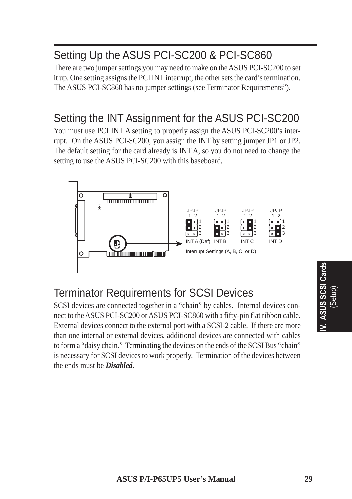# Setting Up the ASUS PCI-SC200 & PCI-SC860

There are two jumper settings you may need to make on the ASUS PCI-SC200 to set it up. One setting assigns the PCI INT interrupt, the other sets the card's termination. The ASUS PCI-SC860 has no jumper settings (see Terminator Requirements").

# Setting the INT Assignment for the ASUS PCI-SC200

You must use PCI INT A setting to properly assign the ASUS PCI-SC200's interrupt. On the ASUS PCI-SC200, you assign the INT by setting jumper JP1 or JP2. The default setting for the card already is INT A, so you do not need to change the setting to use the ASUS PCI-SC200 with this baseboard.



# Terminator Requirements for SCSI Devices

SCSI devices are connected together in a "chain" by cables. Internal devices connect to the ASUS PCI-SC200 or ASUS PCI-SC860 with a fifty-pin flat ribbon cable. External devices connect to the external port with a SCSI-2 cable. If there are more than one internal or external devices, additional devices are connected with cables to form a "daisy chain." Terminating the devices on the ends of the SCSI Bus "chain" is necessary for SCSI devices to work properly. Termination of the devices between the ends must be *Disabled*.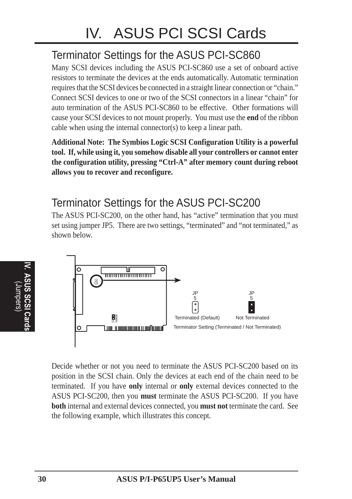# Terminator Settings for the ASUS PCI-SC860

Many SCSI devices including the ASUS PCI-SC860 use a set of onboard active resistors to terminate the devices at the ends automatically. Automatic termination requires that the SCSI devices be connected in a straight linear connection or "chain." Connect SCSI devices to one or two of the SCSI connectors in a linear "chain" for auto termination of the ASUS PCI-SC860 to be effective. Other formations will cause your SCSI devices to not mount properly. You must use the **end** of the ribbon cable when using the internal connector(s) to keep a linear path.

**Additional Note: The Symbios Logic SCSI Configuration Utility is a powerful tool. If, while using it, you somehow disable all your controllers or cannot enter the configuration utility, pressing "Ctrl-A" after memory count during reboot allows you to recover and reconfigure.**

# Terminator Settings for the ASUS PCI-SC200

The ASUS PCI-SC200, on the other hand, has "active" termination that you must set using jumper JP5. There are two settings, "terminated" and "not terminated," as shown below.



Decide whether or not you need to terminate the ASUS PCI-SC200 based on its position in the SCSI chain. Only the devices at each end of the chain need to be terminated. If you have **only** internal or **only** external devices connected to the ASUS PCI-SC200, then you **must** terminate the ASUS PCI-SC200. If you have **both** internal and external devices connected, you **must not** terminate the card. See the following example, which illustrates this concept.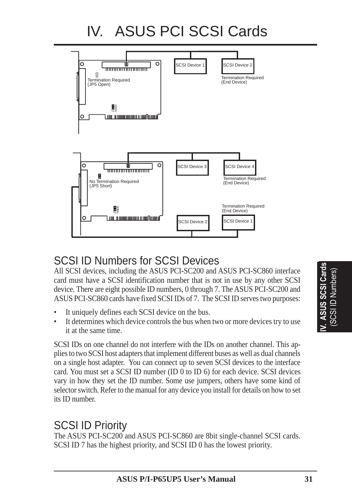# IV. ASUS PCI SCSI Cards



# SCSI ID Numbers for SCSI Devices

All SCSI devices, including the ASUS PCI-SC200 and ASUS PCI-SC860 interface card must have a SCSI identification number that is not in use by any other SCSI device. There are eight possible ID numbers, 0 through 7. The ASUS PCI-SC200 and ASUS PCI-SC860 cards have fixed SCSI IDs of 7. The SCSI ID serves two purposes:

- It uniquely defines each SCSI device on the bus.
- It determines which device controls the bus when two or more devices try to use it at the same time.

SCSI IDs on one channel do not interfere with the IDs on another channel. This applies to two SCSI host adapters that implement different buses as well as dual channels on a single host adapter. You can connect up to seven SCSI devices to the interface card. You must set a SCSI ID number (ID 0 to ID 6) for each device. SCSI devices vary in how they set the ID number. Some use jumpers, others have some kind of selector switch. Refer to the manual for any device you install for details on how to set its ID number.

# SCSI ID Priority

The ASUS PCI-SC200 and ASUS PCI-SC860 are 8bit single-channel SCSI cards. SCSI ID 7 has the highest priority, and SCSI ID 0 has the lowest priority.